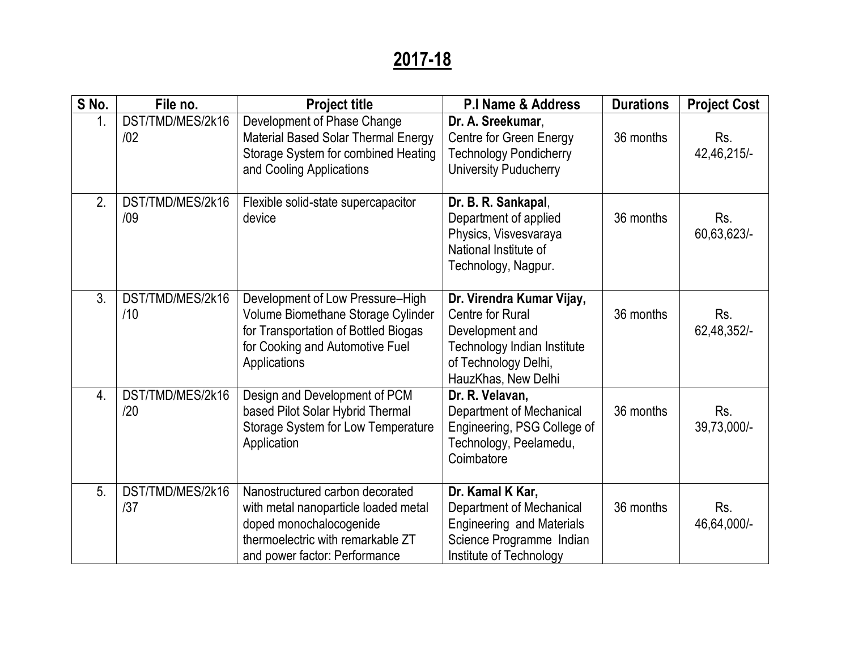## **2017-18**

| S No.            | File no.                | <b>Project title</b>                                                                                                                                                     | <b>P.I Name &amp; Address</b>                                                                                                                         | <b>Durations</b> | <b>Project Cost</b> |
|------------------|-------------------------|--------------------------------------------------------------------------------------------------------------------------------------------------------------------------|-------------------------------------------------------------------------------------------------------------------------------------------------------|------------------|---------------------|
| 1.               | DST/TMD/MES/2k16<br>/02 | Development of Phase Change<br>Material Based Solar Thermal Energy<br>Storage System for combined Heating<br>and Cooling Applications                                    | Dr. A. Sreekumar,<br><b>Centre for Green Energy</b><br><b>Technology Pondicherry</b><br>University Puducherry                                         | 36 months        | Rs.<br>42,46,215/-  |
| 2.               | DST/TMD/MES/2k16<br>/09 | Flexible solid-state supercapacitor<br>device                                                                                                                            | Dr. B. R. Sankapal,<br>Department of applied<br>Physics, Visvesvaraya<br>National Institute of<br>Technology, Nagpur.                                 | 36 months        | Rs.<br>60,63,623/-  |
| 3.               | DST/TMD/MES/2k16<br>/10 | Development of Low Pressure-High<br>Volume Biomethane Storage Cylinder<br>for Transportation of Bottled Biogas<br>for Cooking and Automotive Fuel<br>Applications        | Dr. Virendra Kumar Vijay,<br><b>Centre for Rural</b><br>Development and<br>Technology Indian Institute<br>of Technology Delhi,<br>HauzKhas, New Delhi | 36 months        | Rs.<br>62,48,352/-  |
| $\overline{4}$ . | DST/TMD/MES/2k16<br>/20 | Design and Development of PCM<br>based Pilot Solar Hybrid Thermal<br>Storage System for Low Temperature<br>Application                                                   | Dr. R. Velavan,<br><b>Department of Mechanical</b><br>Engineering, PSG College of<br>Technology, Peelamedu,<br>Coimbatore                             | 36 months        | Rs.<br>39,73,000/-  |
| 5.               | DST/TMD/MES/2k16<br>/37 | Nanostructured carbon decorated<br>with metal nanoparticle loaded metal<br>doped monochalocogenide<br>thermoelectric with remarkable ZT<br>and power factor: Performance | Dr. Kamal K Kar,<br><b>Department of Mechanical</b><br><b>Engineering and Materials</b><br>Science Programme Indian<br>Institute of Technology        | 36 months        | Rs.<br>46,64,000/-  |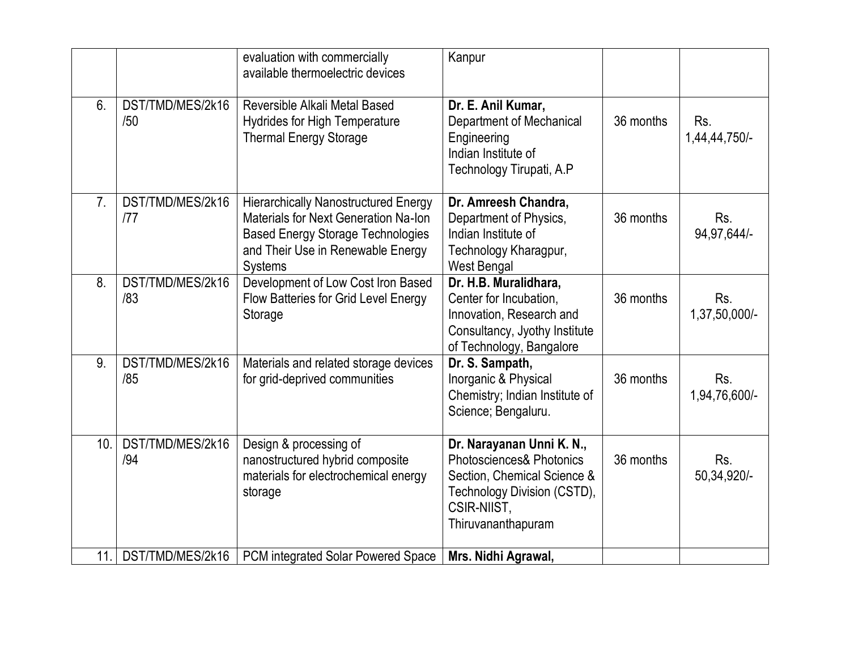|                |                         | evaluation with commercially<br>available thermoelectric devices                                                                                                                              | Kanpur                                                                                                                                                              |           |                      |
|----------------|-------------------------|-----------------------------------------------------------------------------------------------------------------------------------------------------------------------------------------------|---------------------------------------------------------------------------------------------------------------------------------------------------------------------|-----------|----------------------|
| 6.             | DST/TMD/MES/2k16<br>/50 | Reversible Alkali Metal Based<br><b>Hydrides for High Temperature</b><br><b>Thermal Energy Storage</b>                                                                                        | Dr. E. Anil Kumar,<br><b>Department of Mechanical</b><br>Engineering<br>Indian Institute of<br>Technology Tirupati, A.P                                             | 36 months | Rs.<br>1,44,44,750/- |
| 7 <sub>1</sub> | DST/TMD/MES/2k16<br>177 | <b>Hierarchically Nanostructured Energy</b><br><b>Materials for Next Generation Na-Ion</b><br><b>Based Energy Storage Technologies</b><br>and Their Use in Renewable Energy<br><b>Systems</b> | Dr. Amreesh Chandra,<br>Department of Physics,<br>Indian Institute of<br>Technology Kharagpur,<br><b>West Bengal</b>                                                | 36 months | Rs.<br>94,97,644/-   |
| 8.             | DST/TMD/MES/2k16<br>/83 | Development of Low Cost Iron Based<br>Flow Batteries for Grid Level Energy<br>Storage                                                                                                         | Dr. H.B. Muralidhara,<br>Center for Incubation,<br>Innovation, Research and<br>Consultancy, Jyothy Institute<br>of Technology, Bangalore                            | 36 months | Rs.<br>1,37,50,000/- |
| 9.             | DST/TMD/MES/2k16<br>/85 | Materials and related storage devices<br>for grid-deprived communities                                                                                                                        | Dr. S. Sampath,<br>Inorganic & Physical<br>Chemistry; Indian Institute of<br>Science; Bengaluru.                                                                    | 36 months | Rs.<br>1,94,76,600/- |
| 10.            | DST/TMD/MES/2k16<br>/94 | Design & processing of<br>nanostructured hybrid composite<br>materials for electrochemical energy<br>storage                                                                                  | Dr. Narayanan Unni K. N.,<br><b>Photosciences&amp; Photonics</b><br>Section, Chemical Science &<br>Technology Division (CSTD),<br>CSIR-NIIST,<br>Thiruvananthapuram | 36 months | Rs.<br>50,34,920/-   |
| 11.            | DST/TMD/MES/2k16        | PCM integrated Solar Powered Space                                                                                                                                                            | Mrs. Nidhi Agrawal,                                                                                                                                                 |           |                      |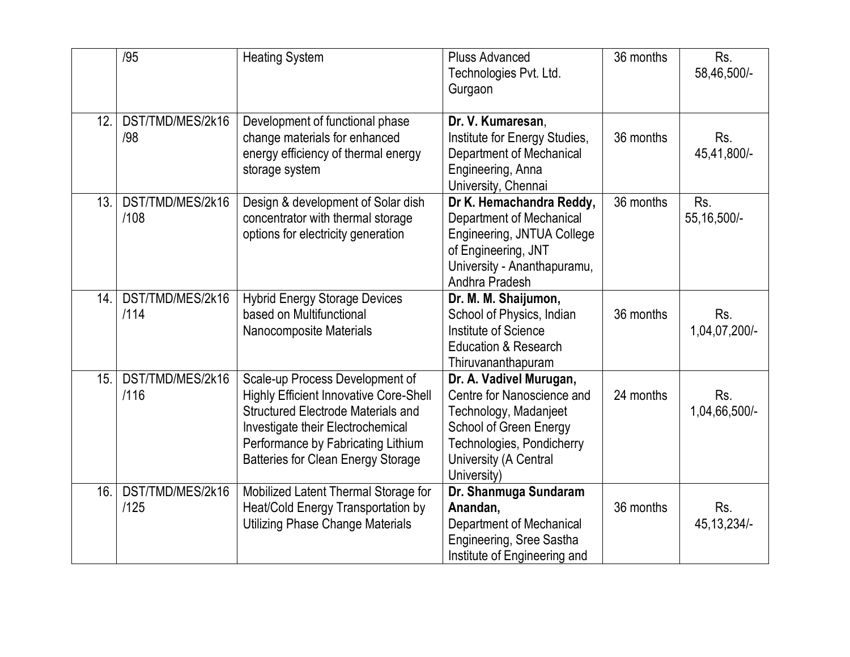|     | /95                      | <b>Heating System</b>                                                                                                                                                                                                                                 | <b>Pluss Advanced</b><br>Technologies Pvt. Ltd.<br>Gurgaon                                                                                                                    | 36 months | Rs.<br>58,46,500/-   |
|-----|--------------------------|-------------------------------------------------------------------------------------------------------------------------------------------------------------------------------------------------------------------------------------------------------|-------------------------------------------------------------------------------------------------------------------------------------------------------------------------------|-----------|----------------------|
| 12. | DST/TMD/MES/2k16<br>/98  | Development of functional phase<br>change materials for enhanced<br>energy efficiency of thermal energy<br>storage system                                                                                                                             | Dr. V. Kumaresan,<br>Institute for Energy Studies,<br><b>Department of Mechanical</b><br>Engineering, Anna<br>University, Chennai                                             | 36 months | Rs.<br>45,41,800/-   |
| 13. | DST/TMD/MES/2k16<br>/108 | Design & development of Solar dish<br>concentrator with thermal storage<br>options for electricity generation                                                                                                                                         | Dr K. Hemachandra Reddy,<br><b>Department of Mechanical</b><br>Engineering, JNTUA College<br>of Engineering, JNT<br>University - Ananthapuramu,<br>Andhra Pradesh             | 36 months | Rs.<br>55, 16, 500/- |
| 14. | DST/TMD/MES/2k16<br>/114 | <b>Hybrid Energy Storage Devices</b><br>based on Multifunctional<br>Nanocomposite Materials                                                                                                                                                           | Dr. M. M. Shaijumon,<br>School of Physics, Indian<br>Institute of Science<br><b>Education &amp; Research</b><br>Thiruvananthapuram                                            | 36 months | Rs.<br>1,04,07,200/- |
| 15. | DST/TMD/MES/2k16<br>/116 | Scale-up Process Development of<br><b>Highly Efficient Innovative Core-Shell</b><br><b>Structured Electrode Materials and</b><br>Investigate their Electrochemical<br>Performance by Fabricating Lithium<br><b>Batteries for Clean Energy Storage</b> | Dr. A. Vadivel Murugan,<br>Centre for Nanoscience and<br>Technology, Madanjeet<br>School of Green Energy<br>Technologies, Pondicherry<br>University (A Central<br>University) | 24 months | Rs.<br>1,04,66,500/- |
| 16. | DST/TMD/MES/2k16<br>/125 | Mobilized Latent Thermal Storage for<br>Heat/Cold Energy Transportation by<br><b>Utilizing Phase Change Materials</b>                                                                                                                                 | Dr. Shanmuga Sundaram<br>Anandan,<br><b>Department of Mechanical</b><br>Engineering, Sree Sastha<br>Institute of Engineering and                                              | 36 months | Rs.<br>45, 13, 234/- |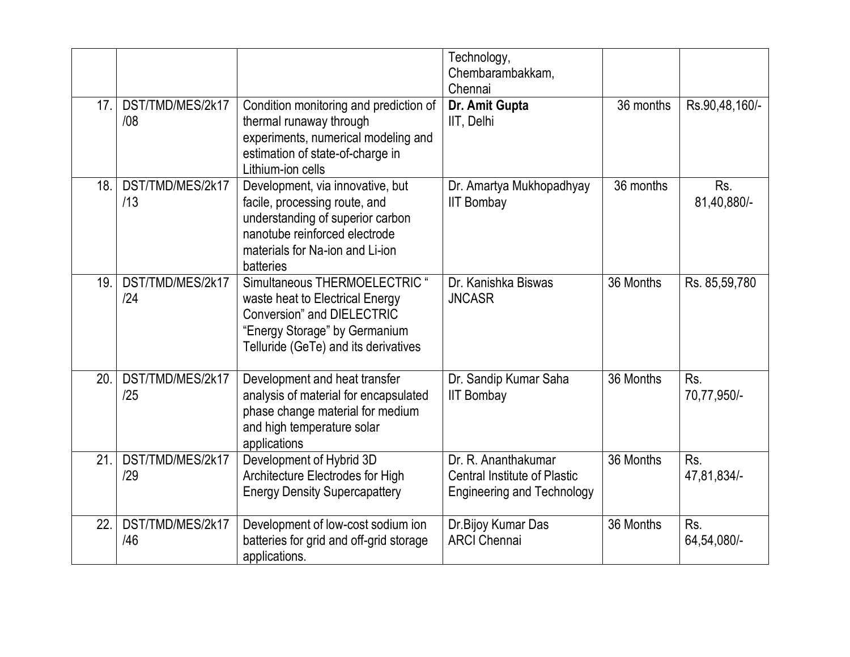|     |                         |                                                                                                                                                                                        | Technology,<br>Chembarambakkam,<br>Chennai                                                      |           |                    |
|-----|-------------------------|----------------------------------------------------------------------------------------------------------------------------------------------------------------------------------------|-------------------------------------------------------------------------------------------------|-----------|--------------------|
| 17. | DST/TMD/MES/2k17<br>/08 | Condition monitoring and prediction of<br>thermal runaway through<br>experiments, numerical modeling and<br>estimation of state-of-charge in<br>Lithium-ion cells                      | Dr. Amit Gupta<br>IIT, Delhi                                                                    | 36 months | Rs.90,48,160/-     |
| 18. | DST/TMD/MES/2k17<br>/13 | Development, via innovative, but<br>facile, processing route, and<br>understanding of superior carbon<br>nanotube reinforced electrode<br>materials for Na-ion and Li-ion<br>batteries | Dr. Amartya Mukhopadhyay<br><b>IIT Bombay</b>                                                   | 36 months | Rs.<br>81,40,880/- |
| 19. | DST/TMD/MES/2k17<br>/24 | Simultaneous THERMOELECTRIC "<br>waste heat to Electrical Energy<br><b>Conversion</b> " and DIELECTRIC<br>"Energy Storage" by Germanium<br>Telluride (GeTe) and its derivatives        | Dr. Kanishka Biswas<br><b>JNCASR</b>                                                            | 36 Months | Rs. 85,59,780      |
| 20. | DST/TMD/MES/2k17<br>/25 | Development and heat transfer<br>analysis of material for encapsulated<br>phase change material for medium<br>and high temperature solar<br>applications                               | Dr. Sandip Kumar Saha<br><b>IIT Bombay</b>                                                      | 36 Months | Rs.<br>70,77,950/- |
| 21. | DST/TMD/MES/2k17<br>/29 | Development of Hybrid 3D<br>Architecture Electrodes for High<br><b>Energy Density Supercapattery</b>                                                                                   | Dr. R. Ananthakumar<br><b>Central Institute of Plastic</b><br><b>Engineering and Technology</b> | 36 Months | Rs.<br>47,81,834/- |
| 22. | DST/TMD/MES/2k17<br>/46 | Development of low-cost sodium ion<br>batteries for grid and off-grid storage<br>applications.                                                                                         | Dr. Bijoy Kumar Das<br><b>ARCI Chennai</b>                                                      | 36 Months | Rs.<br>64,54,080/- |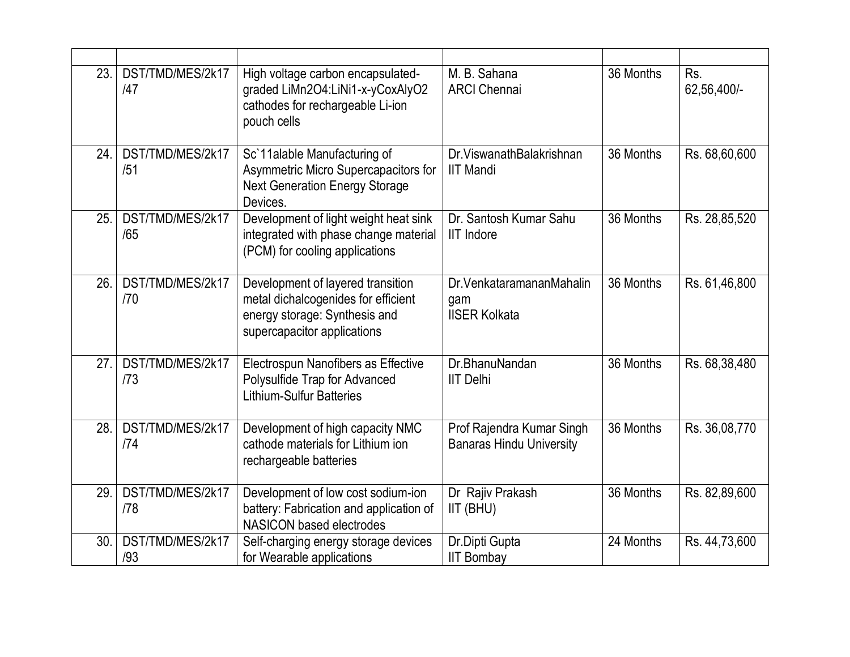| 23. | DST/TMD/MES/2k17<br>/47 | High voltage carbon encapsulated-<br>graded LiMn2O4:LiNi1-x-yCoxAlyO2<br>cathodes for rechargeable Li-ion<br>pouch cells                 | M. B. Sahana<br><b>ARCI Chennai</b>                          | 36 Months | Rs.<br>62,56,400/- |
|-----|-------------------------|------------------------------------------------------------------------------------------------------------------------------------------|--------------------------------------------------------------|-----------|--------------------|
| 24. | DST/TMD/MES/2k17<br>/51 | Sc'11alable Manufacturing of<br>Asymmetric Micro Supercapacitors for<br><b>Next Generation Energy Storage</b><br>Devices.                | Dr. Viswanath Balakrishnan<br><b>IIT Mandi</b>               | 36 Months | Rs. 68,60,600      |
| 25. | DST/TMD/MES/2k17<br>/65 | Development of light weight heat sink<br>integrated with phase change material<br>(PCM) for cooling applications                         | Dr. Santosh Kumar Sahu<br><b>IIT Indore</b>                  | 36 Months | Rs. 28,85,520      |
| 26. | DST/TMD/MES/2k17<br>/70 | Development of layered transition<br>metal dichalcogenides for efficient<br>energy storage: Synthesis and<br>supercapacitor applications | Dr. Venkataramanan Mahalin<br>gam<br><b>IISER Kolkata</b>    | 36 Months | Rs. 61,46,800      |
| 27. | DST/TMD/MES/2k17<br>/73 | Electrospun Nanofibers as Effective<br>Polysulfide Trap for Advanced<br><b>Lithium-Sulfur Batteries</b>                                  | Dr.BhanuNandan<br><b>IIT Delhi</b>                           | 36 Months | Rs. 68,38,480      |
| 28. | DST/TMD/MES/2k17<br>/74 | Development of high capacity NMC<br>cathode materials for Lithium ion<br>rechargeable batteries                                          | Prof Rajendra Kumar Singh<br><b>Banaras Hindu University</b> | 36 Months | Rs. 36,08,770      |
| 29. | DST/TMD/MES/2k17<br>/78 | Development of low cost sodium-ion<br>battery: Fabrication and application of<br><b>NASICON based electrodes</b>                         | Dr Rajiv Prakash<br>IIT (BHU)                                | 36 Months | Rs. 82,89,600      |
| 30. | DST/TMD/MES/2k17<br>/93 | Self-charging energy storage devices<br>for Wearable applications                                                                        | Dr.Dipti Gupta<br><b>IIT Bombay</b>                          | 24 Months | Rs. 44,73,600      |